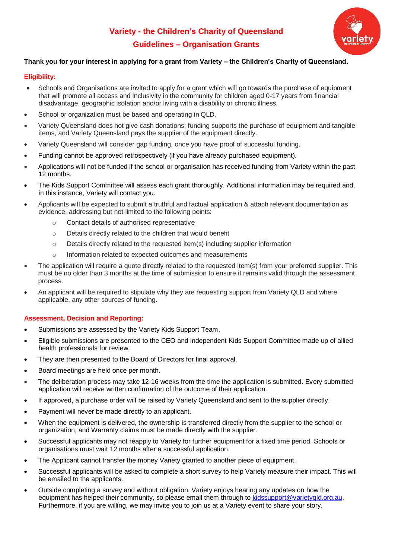# **Variety - the Children's Charity of Queensland Guidelines – Organisation Grants**



## **Thank you for your interest in applying for a grant from Variety – the Children's Charity of Queensland.**

### **Eligibility:**

- Schools and Organisations are invited to apply for a grant which will go towards the purchase of equipment that will promote all access and inclusivity in the community for children aged 0-17 years from financial disadvantage, geographic isolation and/or living with a disability or chronic illness.
- School or organization must be based and operating in QLD.
- Variety Queensland does not give cash donations; funding supports the purchase of equipment and tangible items, and Variety Queensland pays the supplier of the equipment directly.
- Variety Queensland will consider gap funding, once you have proof of successful funding.
- Funding cannot be approved retrospectively (if you have already purchased equipment).
- Applications will not be funded if the school or organisation has received funding from Variety within the past 12 months.
- The Kids Support Committee will assess each grant thoroughly. Additional information may be required and, in this instance, Variety will contact you.
- Applicants will be expected to submit a truthful and factual application & attach relevant documentation as evidence, addressing but not limited to the following points:
	- o Contact details of authorised representative
	- o Details directly related to the children that would benefit
	- $\circ$  Details directly related to the requested item(s) including supplier information
	- o Information related to expected outcomes and measurements
- The application will require a quote directly related to the requested item(s) from your preferred supplier. This must be no older than 3 months at the time of submission to ensure it remains valid through the assessment process.
- An applicant will be required to stipulate why they are requesting support from Variety QLD and where applicable, any other sources of funding.

## **Assessment, Decision and Reporting:**

- Submissions are assessed by the Variety Kids Support Team.
- Eligible submissions are presented to the CEO and independent Kids Support Committee made up of allied health professionals for review.
- They are then presented to the Board of Directors for final approval.
- Board meetings are held once per month.
- The deliberation process may take 12-16 weeks from the time the application is submitted. Every submitted application will receive written confirmation of the outcome of their application.
- If approved, a purchase order will be raised by Variety Queensland and sent to the supplier directly.
- Payment will never be made directly to an applicant.
- When the equipment is delivered, the ownership is transferred directly from the supplier to the school or organization, and Warranty claims must be made directly with the supplier.
- Successful applicants may not reapply to Variety for further equipment for a fixed time period. Schools or organisations must wait 12 months after a successful application.
- The Applicant cannot transfer the money Variety granted to another piece of equipment.
- Successful applicants will be asked to complete a short survey to help Variety measure their impact. This will be emailed to the applicants.
- Outside completing a survey and without obligation, Variety enjoys hearing any updates on how the equipment has helped their community, so please email them through to [kidssupport@varietyqld.org.au.](mailto:kidssupport@varietyqld.org.au) Furthermore, if you are willing, we may invite you to join us at a Variety event to share your story.